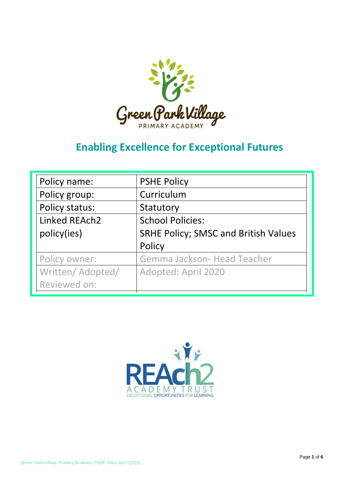

# **Enabling Excellence for Exceptional Futures**

| Policy name:      | <b>PSHE Policy</b>                          |
|-------------------|---------------------------------------------|
| Policy group:     | Curriculum                                  |
| Policy status:    | Statutory                                   |
| Linked REAch2     | <b>School Policies:</b>                     |
| policy(ies)       | <b>SRHE Policy; SMSC and British Values</b> |
|                   | Policy                                      |
| Policy owner:     | Gemma Jackson- Head Teacher                 |
| Written/ Adopted/ | Adopted: April 2020                         |
| Reviewed on:      |                                             |
|                   |                                             |

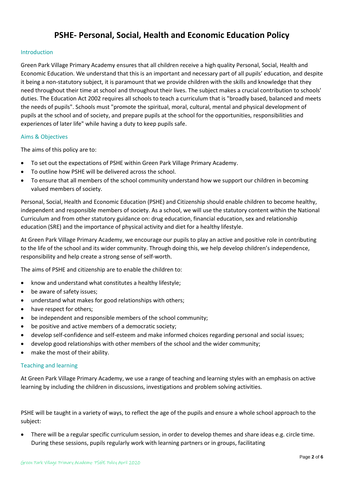# **PSHE- Personal, Social, Health and Economic Education Policy**

# Introduction

Green Park Village Primary Academy ensures that all children receive a high quality Personal, Social, Health and Economic Education. We understand that this is an important and necessary part of all pupils' education, and despite it being a non-statutory subject, it is paramount that we provide children with the skills and knowledge that they need throughout their time at school and throughout their lives. The subject makes a crucial contribution to schools' duties. The Education Act 2002 requires all schools to teach a curriculum that is "broadly based, balanced and meets the needs of pupils". Schools must "promote the spiritual, moral, cultural, mental and physical development of pupils at the school and of society, and prepare pupils at the school for the opportunities, responsibilities and experiences of later life" while having a duty to keep pupils safe.

# Aims & Objectives

The aims of this policy are to:

- To set out the expectations of PSHE within Green Park Village Primary Academy.
- To outline how PSHE will be delivered across the school.
- To ensure that all members of the school community understand how we support our children in becoming valued members of society.

Personal, Social, Health and Economic Education (PSHE) and Citizenship should enable children to become healthy, independent and responsible members of society. As a school, we will use the statutory content within the National Curriculum and from other statutory guidance on: drug education, financial education, sex and relationship education (SRE) and the importance of physical activity and diet for a healthy lifestyle.

At Green Park Village Primary Academy, we encourage our pupils to play an active and positive role in contributing to the life of the school and its wider community. Through doing this, we help develop children's independence, responsibility and help create a strong sense of self-worth.

The aims of PSHE and citizenship are to enable the children to:

- know and understand what constitutes a healthy lifestyle;
- be aware of safety issues;
- understand what makes for good relationships with others;
- have respect for others;
- be independent and responsible members of the school community;
- be positive and active members of a democratic society;
- develop self-confidence and self-esteem and make informed choices regarding personal and social issues;
- develop good relationships with other members of the school and the wider community;
- make the most of their ability.

# Teaching and learning

At Green Park Village Primary Academy, we use a range of teaching and learning styles with an emphasis on active learning by including the children in discussions, investigations and problem solving activities.

PSHE will be taught in a variety of ways, to reflect the age of the pupils and ensure a whole school approach to the subject:

 There will be a regular specific curriculum session, in order to develop themes and share ideas e.g. circle time. During these sessions, pupils regularly work with learning partners or in groups, facilitating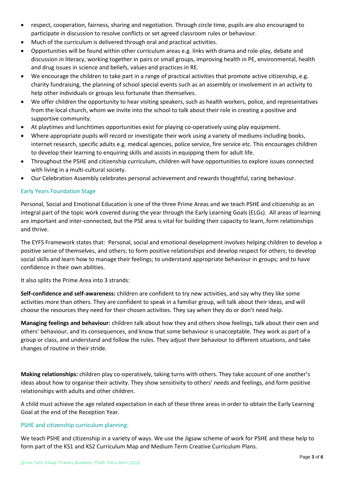- respect, cooperation, fairness, sharing and negotiation. Through circle time, pupils are also encouraged to participate in discussion to resolve conflicts or set agreed classroom rules or behaviour.
- Much of the curriculum is delivered through oral and practical activities.
- Opportunities will be found within other curriculum areas e.g. links with drama and role-play, debate and discussion in literacy, working together in pairs or small groups, improving health in PE, environmental, health and drug issues in science and beliefs, values and practices in RE.
- We encourage the children to take part in a range of practical activities that promote active citizenship, e.g. charity fundraising, the planning of school special events such as an assembly or involvement in an activity to help other individuals or groups less fortunate than themselves.
- We offer children the opportunity to hear visiting speakers, such as health workers, police, and representatives from the local church, whom we invite into the school to talk about their role in creating a positive and supportive community.
- At playtimes and lunchtimes opportunities exist for playing co-operatively using play equipment.
- Where appropriate pupils will record or investigate their work using a variety of mediums including books, internet research, specific adults e.g. medical agencies, police service, fire service etc. This encourages children to develop their learning to enquiring skills and assists in equipping them for adult life.
- Throughout the PSHE and citizenship curriculum, children will have opportunities to explore issues connected with living in a multi-cultural society.
- Our Celebration Assembly celebrates personal achievement and rewards thoughtful, caring behaviour.

# Early Years Foundation Stage

Personal, Social and Emotional Education is one of the three Prime Areas and we teach PSHE and citizenship as an integral part of the topic work covered during the year through the Early Learning Goals (ELGs). All areas of learning are important and inter-connected, but the PSE area is vital for building their capacity to learn, form relationships and thrive.

The EYFS Framework states that: Personal, social and emotional development involves helping children to develop a positive sense of themselves, and others; to form positive relationships and develop respect for others; to develop social skills and learn how to manage their feelings; to understand appropriate behaviour in groups; and to have confidence in their own abilities.

It also splits the Prime Area into 3 strands:

**Self-confidence and self-awareness:** children are confident to try new activities, and say why they like some activities more than others. They are confident to speak in a familiar group, will talk about their ideas, and will choose the resources they need for their chosen activities. They say when they do or don't need help.

**Managing feelings and behaviour:** children talk about how they and others show feelings, talk about their own and others' behaviour, and its consequences, and know that some behaviour is unacceptable. They work as part of a group or class, and understand and follow the rules. They adjust their behaviour to different situations, and take changes of routine in their stride.

**Making relationships:** children play co-operatively, taking turns with others. They take account of one another's ideas about how to organise their activity. They show sensitivity to others' needs and feelings, and form positive relationships with adults and other children.

A child must achieve the age related expectation in each of these three areas in order to obtain the Early Learning Goal at the end of the Reception Year.

# PSHE and citizenship curriculum planning:

We teach PSHE and citizenship in a variety of ways. We use the Jigsaw scheme of work for PSHE and these help to form part of the KS1 and KS2 Curriculum Map and Medium Term Creative Curriculum Plans.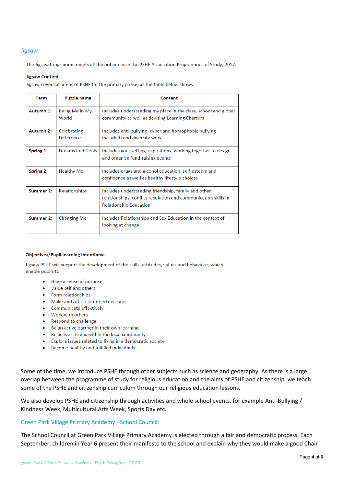## *Jigsaw:*

The Jigsaw Programme meets all the outcomes in the PSHE Association Programmes of Study, 2017.

#### **Jigsaw Content**

Jigsaw covers all areas of PSHE for the primary phase, as the table below shows:

| Term      | <b>Puzzle name</b>               | Content                                                                                                                                                |
|-----------|----------------------------------|--------------------------------------------------------------------------------------------------------------------------------------------------------|
| Autumn 1: | Being Me in My<br>World          | Includes understanding my place in the class, school and global<br>community as well as devising Learning Charters                                     |
| Autumn 2: | Celebrating<br><b>Difference</b> | Includes anti-bullying (cyber and homophobic bullying<br>included) and diversity work                                                                  |
| Spring 1: | <b>Dreams and Goals</b>          | Includes goal-setting, aspirations, working together to design<br>and organise fund-raising events                                                     |
| Spring 2: | <b>Healthy Me</b>                | Includes drugs and alcohol education, self-esteem and<br>confidence as well as healthy lifestyle choices                                               |
| Summer 1: | Relationships                    | Includes understanding friendship, family and other<br>relationships, conflict resolution and communication skills in<br><b>Relationship Education</b> |
| Summer 2: | Changing Me                      | Includes Relationships and Sex Education in the context of<br>looking at change                                                                        |

#### **Objectives/Pupil learning intentions:**

Jigsaw PSHE will support the development of the skills, attitudes, values and behaviour, which enable pupils to:

- Have a sense of purpose
- Value self and others  $\bullet$
- Form relationships
- Make and act on informed decisions
- Communicate effectively
- Work with others  $\bullet$
- Respond to challenge
- Be an active partner in their own learning
- Be active citizens within the local community
- Explore issues related to living in a democratic society
- Become healthy and fulfilled individuals

Some of the time, we introduce PSHE through other subjects such as science and geography. As there is a large overlap between the programme of study for religious education and the aims of PSHE and citizenship, we teach some of the PSHE and citizenship curriculum through our religious education lessons.

We also develop PSHE and citizenship through activities and whole school events, for example Anti-Bullying / Kindness Week, Multicultural Arts Week, Sports Day etc.

# Green Park Village Primary Academy - School Council:

The School Council at Green Park Village Primary Academy is elected through a fair and democratic process. Each September, children in Year 6 present their manifesto to the school and explain why they would make a good Chair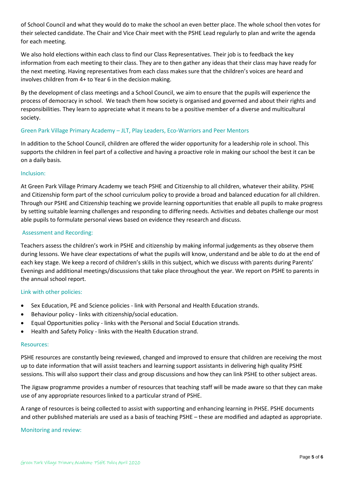of School Council and what they would do to make the school an even better place. The whole school then votes for their selected candidate. The Chair and Vice Chair meet with the PSHE Lead regularly to plan and write the agenda for each meeting.

We also hold elections within each class to find our Class Representatives. Their job is to feedback the key information from each meeting to their class. They are to then gather any ideas that their class may have ready for the next meeting. Having representatives from each class makes sure that the children's voices are heard and involves children from 4+ to Year 6 in the decision making.

By the development of class meetings and a School Council, we aim to ensure that the pupils will experience the process of democracy in school. We teach them how society is organised and governed and about their rights and responsibilities. They learn to appreciate what it means to be a positive member of a diverse and multicultural society.

# Green Park Village Primary Academy – JLT, Play Leaders, Eco-Warriors and Peer Mentors

In addition to the School Council, children are offered the wider opportunity for a leadership role in school. This supports the children in feel part of a collective and having a proactive role in making our school the best it can be on a daily basis.

# Inclusion:

At Green Park Village Primary Academy we teach PSHE and Citizenship to all children, whatever their ability. PSHE and Citizenship form part of the school curriculum policy to provide a broad and balanced education for all children. Through our PSHE and Citizenship teaching we provide learning opportunities that enable all pupils to make progress by setting suitable learning challenges and responding to differing needs. Activities and debates challenge our most able pupils to formulate personal views based on evidence they research and discuss.

## Assessment and Recording:

Teachers assess the children's work in PSHE and citizenship by making informal judgements as they observe them during lessons. We have clear expectations of what the pupils will know, understand and be able to do at the end of each key stage. We keep a record of children's skills in this subject, which we discuss with parents during Parents' Evenings and additional meetings/discussions that take place throughout the year. We report on PSHE to parents in the annual school report.

# Link with other policies:

- Sex Education, PE and Science policies link with Personal and Health Education strands.
- Behaviour policy links with citizenship/social education.
- Equal Opportunities policy links with the Personal and Social Education strands.
- Health and Safety Policy links with the Health Education strand.

#### Resources:

PSHE resources are constantly being reviewed, changed and improved to ensure that children are receiving the most up to date information that will assist teachers and learning support assistants in delivering high quality PSHE sessions. This will also support their class and group discussions and how they can link PSHE to other subject areas.

The Jigsaw programme provides a number of resources that teaching staff will be made aware so that they can make use of any appropriate resources linked to a particular strand of PSHE.

A range of resources is being collected to assist with supporting and enhancing learning in PHSE. PSHE documents and other published materials are used as a basis of teaching PSHE – these are modified and adapted as appropriate.

#### Monitoring and review: